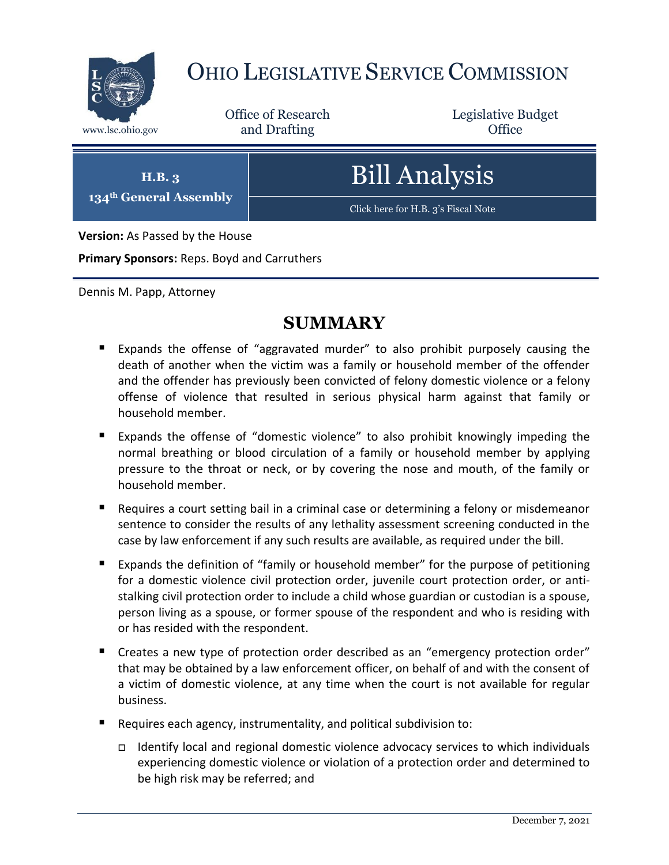

# OHIO LEGISLATIVE SERVICE COMMISSION

Office of Research www.lsc.ohio.gov **and Drafting Office** 

Legislative Budget

**H.B. 3**

**134th General Assembly**

Bill Analysis

[Click here for H.B. 3](https://www.legislature.ohio.gov/legislation/legislation-documents?id=GA134-HB-3)'s Fiscal Note

**Version:** As Passed by the House

**Primary Sponsors:** Reps. Boyd and Carruthers

Dennis M. Papp, Attorney

# **SUMMARY**

- Expands the offense of "aggravated murder" to also prohibit purposely causing the death of another when the victim was a family or household member of the offender and the offender has previously been convicted of felony domestic violence or a felony offense of violence that resulted in serious physical harm against that family or household member.
- Expands the offense of "domestic violence" to also prohibit knowingly impeding the normal breathing or blood circulation of a family or household member by applying pressure to the throat or neck, or by covering the nose and mouth, of the family or household member.
- **Requires a court setting bail in a criminal case or determining a felony or misdemeanor** sentence to consider the results of any lethality assessment screening conducted in the case by law enforcement if any such results are available, as required under the bill.
- **Expands the definition of "family or household member" for the purpose of petitioning** for a domestic violence civil protection order, juvenile court protection order, or antistalking civil protection order to include a child whose guardian or custodian is a spouse, person living as a spouse, or former spouse of the respondent and who is residing with or has resided with the respondent.
- Creates a new type of protection order described as an "emergency protection order" that may be obtained by a law enforcement officer, on behalf of and with the consent of a victim of domestic violence, at any time when the court is not available for regular business.
- Requires each agency, instrumentality, and political subdivision to:
	- Identify local and regional domestic violence advocacy services to which individuals experiencing domestic violence or violation of a protection order and determined to be high risk may be referred; and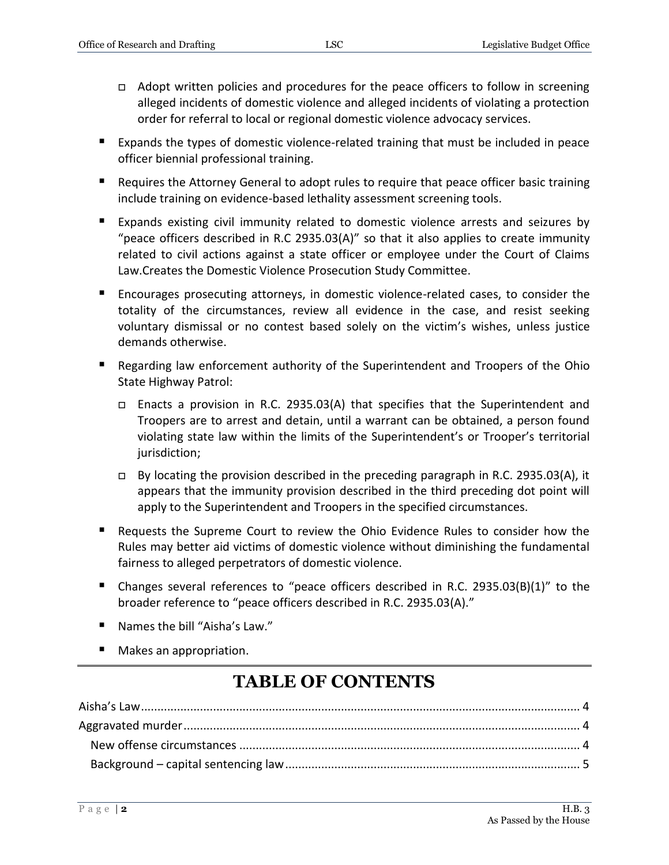- □ Adopt written policies and procedures for the peace officers to follow in screening alleged incidents of domestic violence and alleged incidents of violating a protection order for referral to local or regional domestic violence advocacy services.
- Expands the types of domestic violence-related training that must be included in peace officer biennial professional training.
- Requires the Attorney General to adopt rules to require that peace officer basic training include training on evidence-based lethality assessment screening tools.
- Expands existing civil immunity related to domestic violence arrests and seizures by "peace officers described in R.C 2935.03(A)" so that it also applies to create immunity related to civil actions against a state officer or employee under the Court of Claims Law.Creates the Domestic Violence Prosecution Study Committee.
- Encourages prosecuting attorneys, in domestic violence-related cases, to consider the totality of the circumstances, review all evidence in the case, and resist seeking voluntary dismissal or no contest based solely on the victim's wishes, unless justice demands otherwise.
- Regarding law enforcement authority of the Superintendent and Troopers of the Ohio State Highway Patrol:
	- Enacts a provision in R.C. 2935.03(A) that specifies that the Superintendent and Troopers are to arrest and detain, until a warrant can be obtained, a person found violating state law within the limits of the Superintendent's or Trooper's territorial jurisdiction;
	- $\Box$  By locating the provision described in the preceding paragraph in R.C. 2935.03(A), it appears that the immunity provision described in the third preceding dot point will apply to the Superintendent and Troopers in the specified circumstances.
- Requests the Supreme Court to review the Ohio Evidence Rules to consider how the Rules may better aid victims of domestic violence without diminishing the fundamental fairness to alleged perpetrators of domestic violence.
- Changes several references to "peace officers described in R.C. 2935.03(B)(1)" to the broader reference to "peace officers described in R.C. 2935.03(A)."
- Names the bill "Aisha's Law."
- Makes an appropriation.

# **TABLE OF CONTENTS**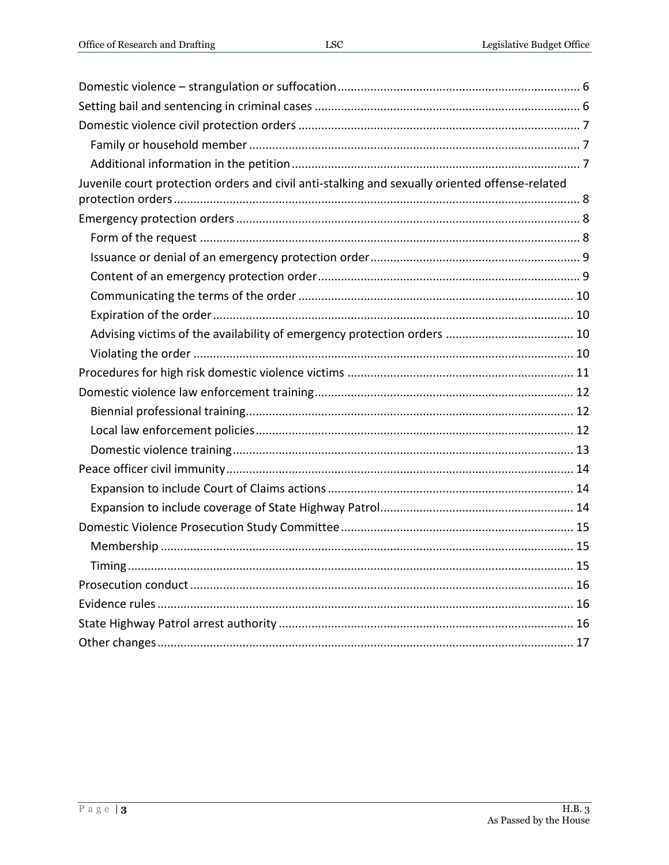| Juvenile court protection orders and civil anti-stalking and sexually oriented offense-related |
|------------------------------------------------------------------------------------------------|
|                                                                                                |
|                                                                                                |
|                                                                                                |
|                                                                                                |
|                                                                                                |
|                                                                                                |
|                                                                                                |
|                                                                                                |
|                                                                                                |
|                                                                                                |
|                                                                                                |
|                                                                                                |
|                                                                                                |
|                                                                                                |
|                                                                                                |
|                                                                                                |
|                                                                                                |
|                                                                                                |
|                                                                                                |
| Timing                                                                                         |
|                                                                                                |
|                                                                                                |
|                                                                                                |
|                                                                                                |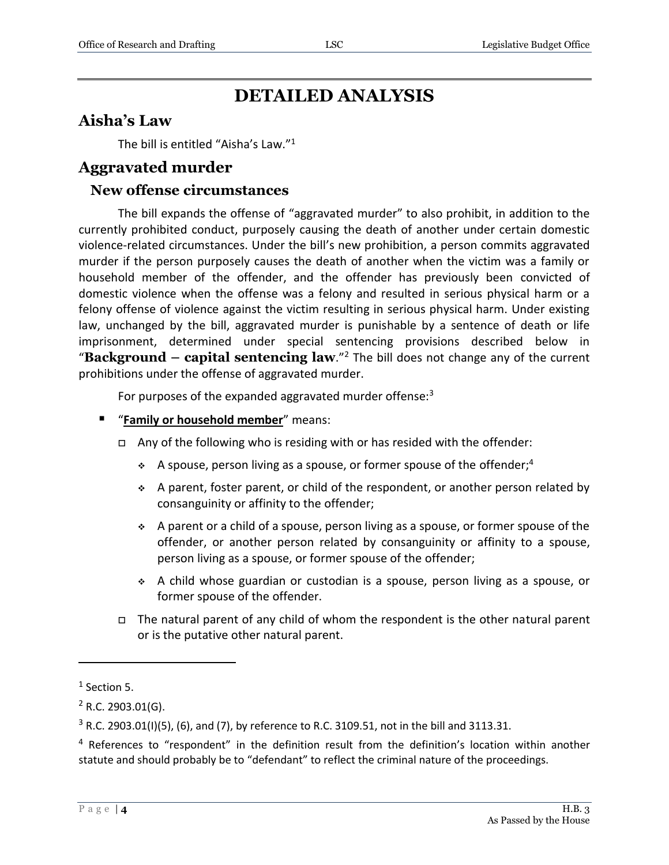# **DETAILED ANALYSIS**

# <span id="page-3-0"></span>**Aisha's Law**

The bill is entitled "Aisha's Law." 1

#### <span id="page-3-1"></span>**Aggravated murder**

#### <span id="page-3-2"></span>**New offense circumstances**

The bill expands the offense of "aggravated murder" to also prohibit, in addition to the currently prohibited conduct, purposely causing the death of another under certain domestic violence-related circumstances. Under the bill's new prohibition, a person commits aggravated murder if the person purposely causes the death of another when the victim was a family or household member of the offender, and the offender has previously been convicted of domestic violence when the offense was a felony and resulted in serious physical harm or a felony offense of violence against the victim resulting in serious physical harm. Under existing law, unchanged by the bill, aggravated murder is punishable by a sentence of death or life imprisonment, determined under special sentencing provisions described below in "**Background – capital sentencing law**." <sup>2</sup> The bill does not change any of the current prohibitions under the offense of aggravated murder.

For purposes of the expanded aggravated murder offense:<sup>3</sup>

- **"** "Family or household member" means:
	- $\Box$  Any of the following who is residing with or has resided with the offender:
		- A spouse, person living as a spouse, or former spouse of the offender;<sup>4</sup>
		- $\div$  A parent, foster parent, or child of the respondent, or another person related by consanguinity or affinity to the offender;
		- $\div$  A parent or a child of a spouse, person living as a spouse, or former spouse of the offender, or another person related by consanguinity or affinity to a spouse, person living as a spouse, or former spouse of the offender;
		- A child whose guardian or custodian is a spouse, person living as a spouse, or former spouse of the offender.
	- $\Box$  The natural parent of any child of whom the respondent is the other natural parent or is the putative other natural parent.

 $<sup>1</sup>$  Section 5.</sup>

 $2$  R.C. 2903.01(G).

 $3$  R.C. 2903.01(I)(5), (6), and (7), by reference to R.C. 3109.51, not in the bill and 3113.31.

<sup>&</sup>lt;sup>4</sup> References to "respondent" in the definition result from the definition's location within another statute and should probably be to "defendant" to reflect the criminal nature of the proceedings.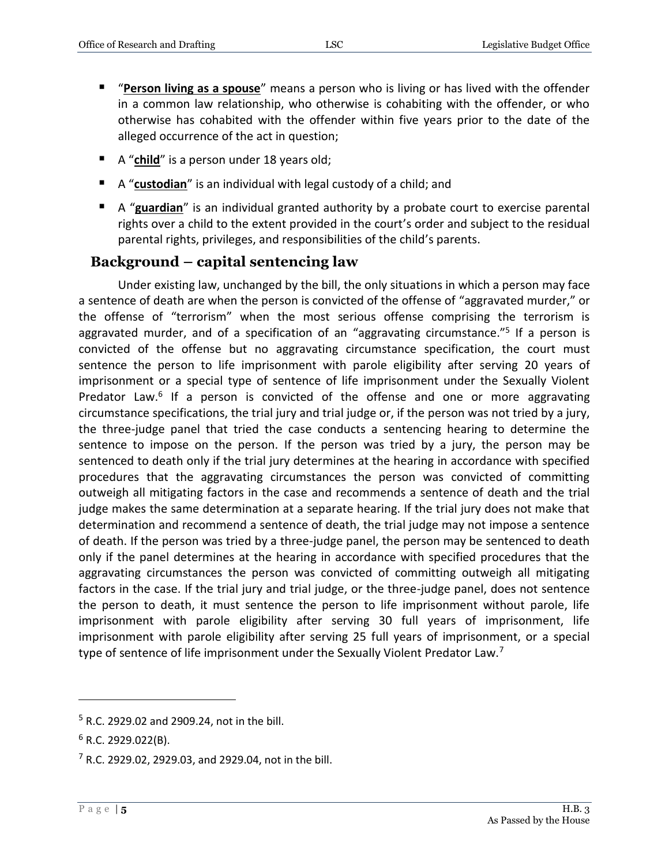- "**Person living as a spouse**" means a person who is living or has lived with the offender in a common law relationship, who otherwise is cohabiting with the offender, or who otherwise has cohabited with the offender within five years prior to the date of the alleged occurrence of the act in question;
- A "**child**" is a person under 18 years old;
- A "**custodian**" is an individual with legal custody of a child; and
- A "**guardian**" is an individual granted authority by a probate court to exercise parental rights over a child to the extent provided in the court's order and subject to the residual parental rights, privileges, and responsibilities of the child's parents.

#### <span id="page-4-0"></span>**Background – capital sentencing law**

Under existing law, unchanged by the bill, the only situations in which a person may face a sentence of death are when the person is convicted of the offense of "aggravated murder," or the offense of "terrorism" when the most serious offense comprising the terrorism is aggravated murder, and of a specification of an "aggravating circumstance."<sup>5</sup> If a person is convicted of the offense but no aggravating circumstance specification, the court must sentence the person to life imprisonment with parole eligibility after serving 20 years of imprisonment or a special type of sentence of life imprisonment under the Sexually Violent Predator Law.<sup>6</sup> If a person is convicted of the offense and one or more aggravating circumstance specifications, the trial jury and trial judge or, if the person was not tried by a jury, the three-judge panel that tried the case conducts a sentencing hearing to determine the sentence to impose on the person. If the person was tried by a jury, the person may be sentenced to death only if the trial jury determines at the hearing in accordance with specified procedures that the aggravating circumstances the person was convicted of committing outweigh all mitigating factors in the case and recommends a sentence of death and the trial judge makes the same determination at a separate hearing. If the trial jury does not make that determination and recommend a sentence of death, the trial judge may not impose a sentence of death. If the person was tried by a three-judge panel, the person may be sentenced to death only if the panel determines at the hearing in accordance with specified procedures that the aggravating circumstances the person was convicted of committing outweigh all mitigating factors in the case. If the trial jury and trial judge, or the three-judge panel, does not sentence the person to death, it must sentence the person to life imprisonment without parole, life imprisonment with parole eligibility after serving 30 full years of imprisonment, life imprisonment with parole eligibility after serving 25 full years of imprisonment, or a special type of sentence of life imprisonment under the Sexually Violent Predator Law.<sup>7</sup>

<sup>5</sup> R.C. 2929.02 and 2909.24, not in the bill.

 $6$  R.C. 2929.022(B).

 $7$  R.C. 2929.02, 2929.03, and 2929.04, not in the bill.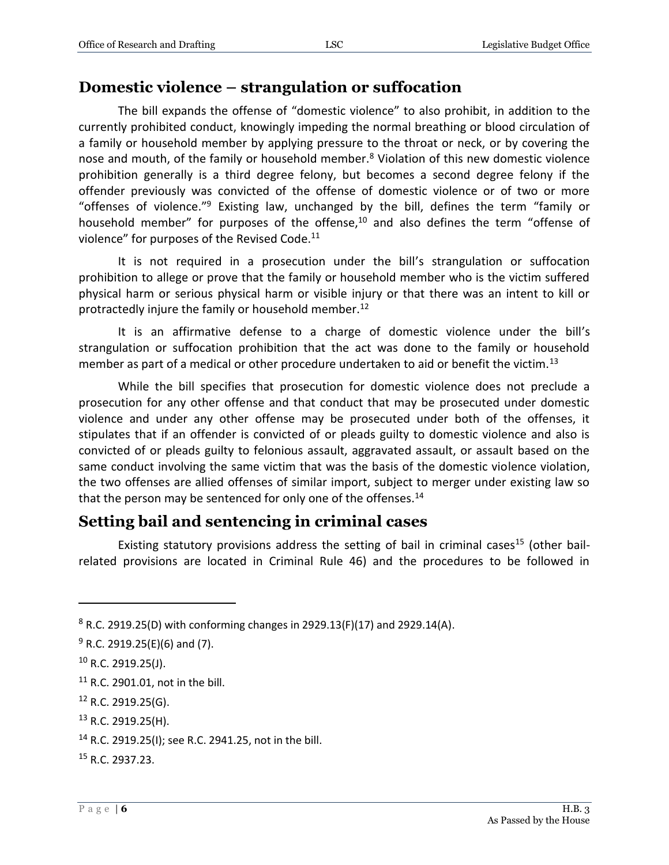#### <span id="page-5-0"></span>**Domestic violence – strangulation or suffocation**

The bill expands the offense of "domestic violence" to also prohibit, in addition to the currently prohibited conduct, knowingly impeding the normal breathing or blood circulation of a family or household member by applying pressure to the throat or neck, or by covering the nose and mouth, of the family or household member. $8$  Violation of this new domestic violence prohibition generally is a third degree felony, but becomes a second degree felony if the offender previously was convicted of the offense of domestic violence or of two or more "offenses of violence." <sup>9</sup> Existing law, unchanged by the bill, defines the term "family or household member" for purposes of the offense,<sup>10</sup> and also defines the term "offense of violence" for purposes of the Revised Code.<sup>11</sup>

It is not required in a prosecution under the bill's strangulation or suffocation prohibition to allege or prove that the family or household member who is the victim suffered physical harm or serious physical harm or visible injury or that there was an intent to kill or protractedly injure the family or household member.<sup>12</sup>

It is an affirmative defense to a charge of domestic violence under the bill's strangulation or suffocation prohibition that the act was done to the family or household member as part of a medical or other procedure undertaken to aid or benefit the victim.<sup>13</sup>

While the bill specifies that prosecution for domestic violence does not preclude a prosecution for any other offense and that conduct that may be prosecuted under domestic violence and under any other offense may be prosecuted under both of the offenses, it stipulates that if an offender is convicted of or pleads guilty to domestic violence and also is convicted of or pleads guilty to felonious assault, aggravated assault, or assault based on the same conduct involving the same victim that was the basis of the domestic violence violation, the two offenses are allied offenses of similar import, subject to merger under existing law so that the person may be sentenced for only one of the offenses.<sup>14</sup>

# <span id="page-5-1"></span>**Setting bail and sentencing in criminal cases**

Existing statutory provisions address the setting of bail in criminal cases<sup>15</sup> (other bailrelated provisions are located in Criminal Rule 46) and the procedures to be followed in

 $8$  R.C. 2919.25(D) with conforming changes in 2929.13(F)(17) and 2929.14(A).

 $9$  R.C. 2919.25(E)(6) and (7).

<sup>10</sup> R.C. 2919.25(J).

<sup>11</sup> R.C. 2901.01, not in the bill.

<sup>12</sup> R.C. 2919.25(G).

<sup>13</sup> R.C. 2919.25(H).

<sup>14</sup> R.C. 2919.25(I); see R.C. 2941.25, not in the bill.

<sup>15</sup> R.C. 2937.23.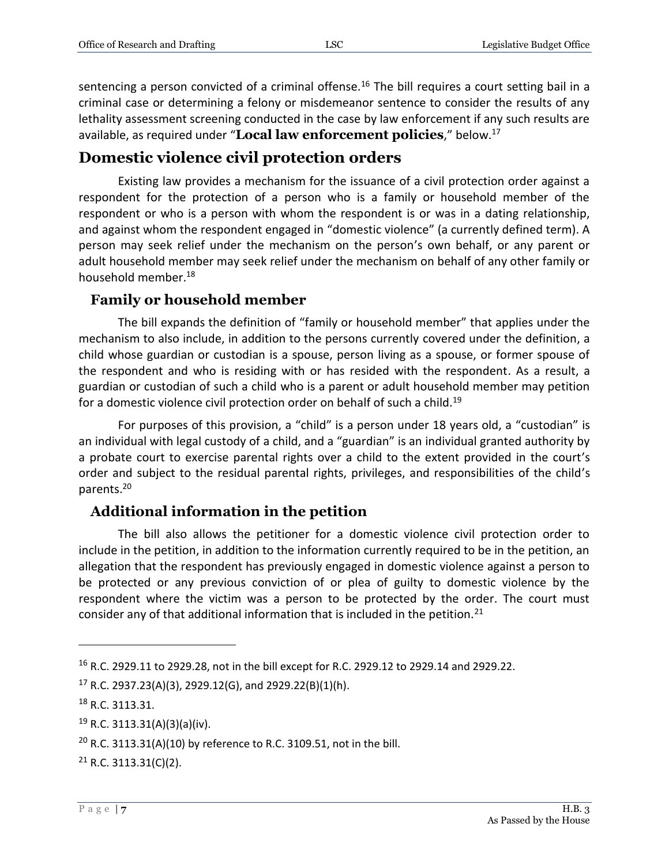sentencing a person convicted of a criminal offense.<sup>16</sup> The bill requires a court setting bail in a criminal case or determining a felony or misdemeanor sentence to consider the results of any lethality assessment screening conducted in the case by law enforcement if any such results are available, as required under "**Local law enforcement policies**," below.<sup>17</sup>

# <span id="page-6-0"></span>**Domestic violence civil protection orders**

Existing law provides a mechanism for the issuance of a civil protection order against a respondent for the protection of a person who is a family or household member of the respondent or who is a person with whom the respondent is or was in a dating relationship, and against whom the respondent engaged in "domestic violence" (a currently defined term). A person may seek relief under the mechanism on the person's own behalf, or any parent or adult household member may seek relief under the mechanism on behalf of any other family or household member.<sup>18</sup>

#### <span id="page-6-1"></span>**Family or household member**

The bill expands the definition of "family or household member" that applies under the mechanism to also include, in addition to the persons currently covered under the definition, a child whose guardian or custodian is a spouse, person living as a spouse, or former spouse of the respondent and who is residing with or has resided with the respondent. As a result, a guardian or custodian of such a child who is a parent or adult household member may petition for a domestic violence civil protection order on behalf of such a child.<sup>19</sup>

For purposes of this provision, a "child" is a person under 18 years old, a "custodian" is an individual with legal custody of a child, and a "guardian" is an individual granted authority by a probate court to exercise parental rights over a child to the extent provided in the court's order and subject to the residual parental rights, privileges, and responsibilities of the child's parents.<sup>20</sup>

#### <span id="page-6-2"></span>**Additional information in the petition**

The bill also allows the petitioner for a domestic violence civil protection order to include in the petition, in addition to the information currently required to be in the petition, an allegation that the respondent has previously engaged in domestic violence against a person to be protected or any previous conviction of or plea of guilty to domestic violence by the respondent where the victim was a person to be protected by the order. The court must consider any of that additional information that is included in the petition.<sup>21</sup>

<sup>16</sup> R.C. 2929.11 to 2929.28, not in the bill except for R.C. 2929.12 to 2929.14 and 2929.22.

<sup>&</sup>lt;sup>17</sup> R.C. 2937.23(A)(3), 2929.12(G), and 2929.22(B)(1)(h).

<sup>&</sup>lt;sup>18</sup> R.C. 3113.31.

 $19$  R.C. 3113.31(A)(3)(a)(iv).

<sup>&</sup>lt;sup>20</sup> R.C. 3113.31(A)(10) by reference to R.C. 3109.51, not in the bill.

 $21$  R.C. 3113.31(C)(2).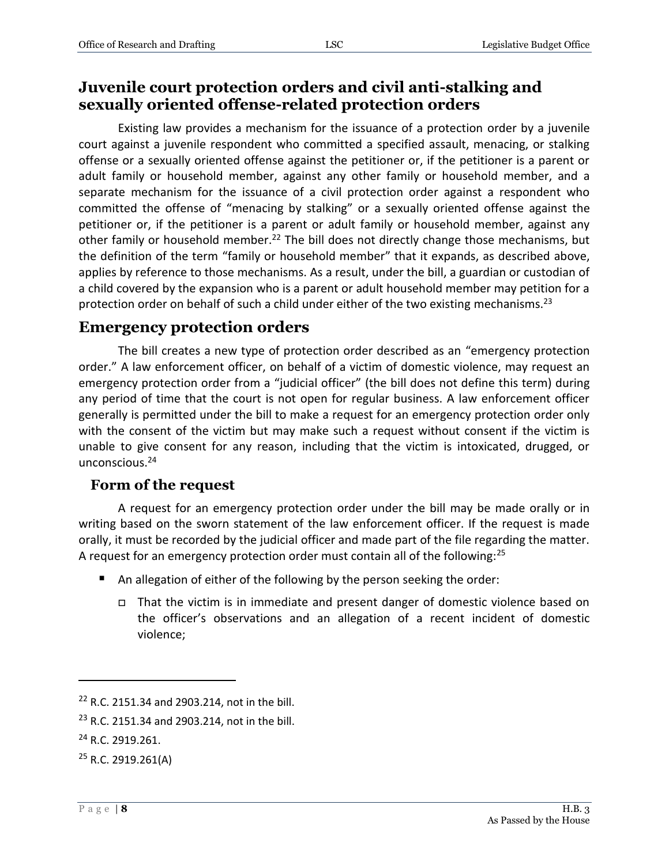# <span id="page-7-0"></span>**Juvenile court protection orders and civil anti-stalking and sexually oriented offense-related protection orders**

Existing law provides a mechanism for the issuance of a protection order by a juvenile court against a juvenile respondent who committed a specified assault, menacing, or stalking offense or a sexually oriented offense against the petitioner or, if the petitioner is a parent or adult family or household member, against any other family or household member, and a separate mechanism for the issuance of a civil protection order against a respondent who committed the offense of "menacing by stalking" or a sexually oriented offense against the petitioner or, if the petitioner is a parent or adult family or household member, against any other family or household member.<sup>22</sup> The bill does not directly change those mechanisms, but the definition of the term "family or household member" that it expands, as described above, applies by reference to those mechanisms. As a result, under the bill, a guardian or custodian of a child covered by the expansion who is a parent or adult household member may petition for a protection order on behalf of such a child under either of the two existing mechanisms.<sup>23</sup>

#### <span id="page-7-1"></span>**Emergency protection orders**

The bill creates a new type of protection order described as an "emergency protection order." A law enforcement officer, on behalf of a victim of domestic violence, may request an emergency protection order from a "judicial officer" (the bill does not define this term) during any period of time that the court is not open for regular business. A law enforcement officer generally is permitted under the bill to make a request for an emergency protection order only with the consent of the victim but may make such a request without consent if the victim is unable to give consent for any reason, including that the victim is intoxicated, drugged, or unconscious.<sup>24</sup>

#### <span id="page-7-2"></span>**Form of the request**

A request for an emergency protection order under the bill may be made orally or in writing based on the sworn statement of the law enforcement officer. If the request is made orally, it must be recorded by the judicial officer and made part of the file regarding the matter. A request for an emergency protection order must contain all of the following:<sup>25</sup>

- An allegation of either of the following by the person seeking the order:
	- That the victim is in immediate and present danger of domestic violence based on the officer's observations and an allegation of a recent incident of domestic violence;

<sup>22</sup> R.C. 2151.34 and 2903.214, not in the bill.

<sup>&</sup>lt;sup>23</sup> R.C. 2151.34 and 2903.214, not in the bill.

<sup>&</sup>lt;sup>24</sup> R.C. 2919.261.

 $25$  R.C. 2919.261(A)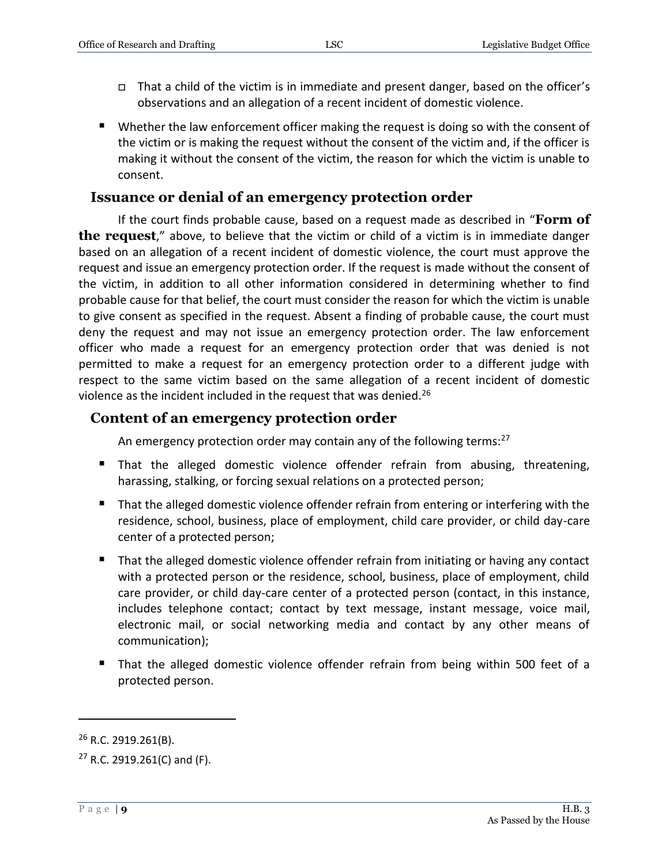- $\Box$  That a child of the victim is in immediate and present danger, based on the officer's observations and an allegation of a recent incident of domestic violence.
- Whether the law enforcement officer making the request is doing so with the consent of the victim or is making the request without the consent of the victim and, if the officer is making it without the consent of the victim, the reason for which the victim is unable to consent.

#### <span id="page-8-0"></span>**Issuance or denial of an emergency protection order**

If the court finds probable cause, based on a request made as described in "**Form of the request**," above, to believe that the victim or child of a victim is in immediate danger based on an allegation of a recent incident of domestic violence, the court must approve the request and issue an emergency protection order. If the request is made without the consent of the victim, in addition to all other information considered in determining whether to find probable cause for that belief, the court must consider the reason for which the victim is unable to give consent as specified in the request. Absent a finding of probable cause, the court must deny the request and may not issue an emergency protection order. The law enforcement officer who made a request for an emergency protection order that was denied is not permitted to make a request for an emergency protection order to a different judge with respect to the same victim based on the same allegation of a recent incident of domestic violence as the incident included in the request that was denied.<sup>26</sup>

#### <span id="page-8-1"></span>**Content of an emergency protection order**

An emergency protection order may contain any of the following terms:<sup>27</sup>

- That the alleged domestic violence offender refrain from abusing, threatening, harassing, stalking, or forcing sexual relations on a protected person;
- That the alleged domestic violence offender refrain from entering or interfering with the residence, school, business, place of employment, child care provider, or child day-care center of a protected person;
- That the alleged domestic violence offender refrain from initiating or having any contact with a protected person or the residence, school, business, place of employment, child care provider, or child day-care center of a protected person (contact, in this instance, includes telephone contact; contact by text message, instant message, voice mail, electronic mail, or social networking media and contact by any other means of communication);
- That the alleged domestic violence offender refrain from being within 500 feet of a protected person.

<sup>&</sup>lt;sup>26</sup> R.C. 2919.261(B).

 $27$  R.C. 2919.261(C) and (F).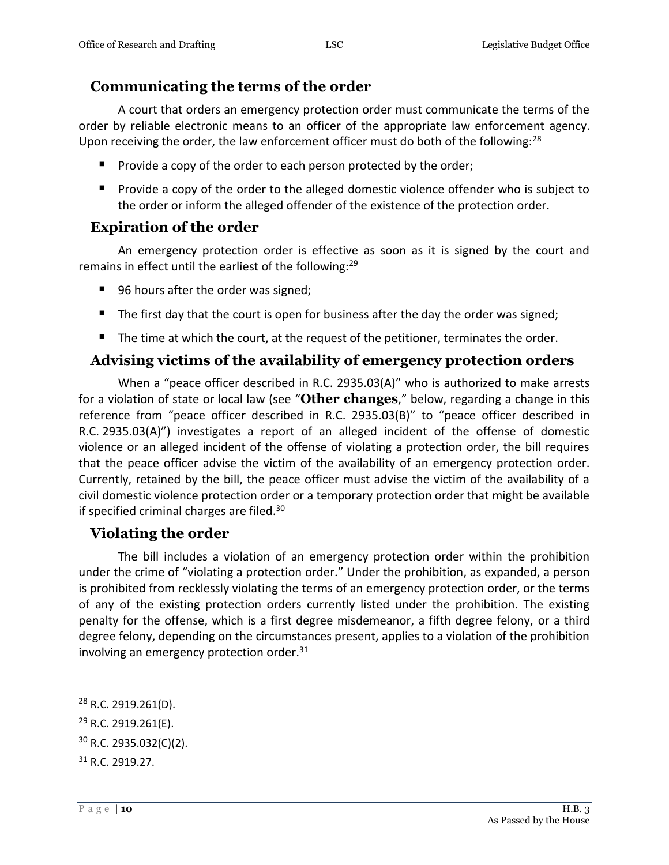#### <span id="page-9-0"></span>**Communicating the terms of the order**

A court that orders an emergency protection order must communicate the terms of the order by reliable electronic means to an officer of the appropriate law enforcement agency. Upon receiving the order, the law enforcement officer must do both of the following: $^{28}$ 

- **Provide a copy of the order to each person protected by the order;**
- **Provide a copy of the order to the alleged domestic violence offender who is subject to** the order or inform the alleged offender of the existence of the protection order.

#### <span id="page-9-1"></span>**Expiration of the order**

An emergency protection order is effective as soon as it is signed by the court and remains in effect until the earliest of the following:<sup>29</sup>

- 96 hours after the order was signed;
- $\blacksquare$  The first day that the court is open for business after the day the order was signed;
- The time at which the court, at the request of the petitioner, terminates the order.

#### <span id="page-9-2"></span>**Advising victims of the availability of emergency protection orders**

When a "peace officer described in R.C. 2935.03(A)" who is authorized to make arrests for a violation of state or local law (see "**Other changes**," below, regarding a change in this reference from "peace officer described in R.C. 2935.03(B)" to "peace officer described in R.C. 2935.03(A)") investigates a report of an alleged incident of the offense of domestic violence or an alleged incident of the offense of violating a protection order, the bill requires that the peace officer advise the victim of the availability of an emergency protection order. Currently, retained by the bill, the peace officer must advise the victim of the availability of a civil domestic violence protection order or a temporary protection order that might be available if specified criminal charges are filed.<sup>30</sup>

#### <span id="page-9-3"></span>**Violating the order**

The bill includes a violation of an emergency protection order within the prohibition under the crime of "violating a protection order." Under the prohibition, as expanded, a person is prohibited from recklessly violating the terms of an emergency protection order, or the terms of any of the existing protection orders currently listed under the prohibition. The existing penalty for the offense, which is a first degree misdemeanor, a fifth degree felony, or a third degree felony, depending on the circumstances present, applies to a violation of the prohibition involving an emergency protection order. $31$ 

<sup>28</sup> R.C. 2919.261(D).

<sup>29</sup> R.C. 2919.261(E).

<sup>30</sup> R.C. 2935.032(C)(2).

<sup>31</sup> R.C. 2919.27.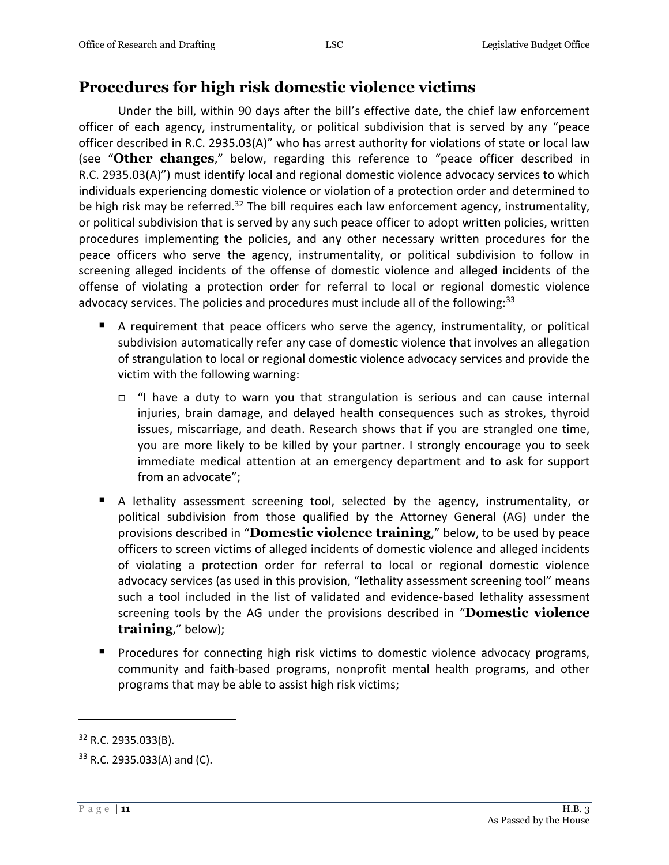# <span id="page-10-0"></span>**Procedures for high risk domestic violence victims**

Under the bill, within 90 days after the bill's effective date, the chief law enforcement officer of each agency, instrumentality, or political subdivision that is served by any "peace officer described in R.C. 2935.03(A)" who has arrest authority for violations of state or local law (see "**Other changes**," below, regarding this reference to "peace officer described in R.C. 2935.03(A)") must identify local and regional domestic violence advocacy services to which individuals experiencing domestic violence or violation of a protection order and determined to be high risk may be referred.<sup>32</sup> The bill requires each law enforcement agency, instrumentality, or political subdivision that is served by any such peace officer to adopt written policies, written procedures implementing the policies, and any other necessary written procedures for the peace officers who serve the agency, instrumentality, or political subdivision to follow in screening alleged incidents of the offense of domestic violence and alleged incidents of the offense of violating a protection order for referral to local or regional domestic violence advocacy services. The policies and procedures must include all of the following: $33$ 

- A requirement that peace officers who serve the agency, instrumentality, or political subdivision automatically refer any case of domestic violence that involves an allegation of strangulation to local or regional domestic violence advocacy services and provide the victim with the following warning:
	- "I have a duty to warn you that strangulation is serious and can cause internal injuries, brain damage, and delayed health consequences such as strokes, thyroid issues, miscarriage, and death. Research shows that if you are strangled one time, you are more likely to be killed by your partner. I strongly encourage you to seek immediate medical attention at an emergency department and to ask for support from an advocate";
- A lethality assessment screening tool, selected by the agency, instrumentality, or political subdivision from those qualified by the Attorney General (AG) under the provisions described in "**Domestic violence training**," below, to be used by peace officers to screen victims of alleged incidents of domestic violence and alleged incidents of violating a protection order for referral to local or regional domestic violence advocacy services (as used in this provision, "lethality assessment screening tool" means such a tool included in the list of validated and evidence-based lethality assessment screening tools by the AG under the provisions described in "**Domestic violence training**," below);
- Procedures for connecting high risk victims to domestic violence advocacy programs, community and faith-based programs, nonprofit mental health programs, and other programs that may be able to assist high risk victims;

<sup>32</sup> R.C. 2935.033(B).

<sup>33</sup> R.C. 2935.033(A) and (C).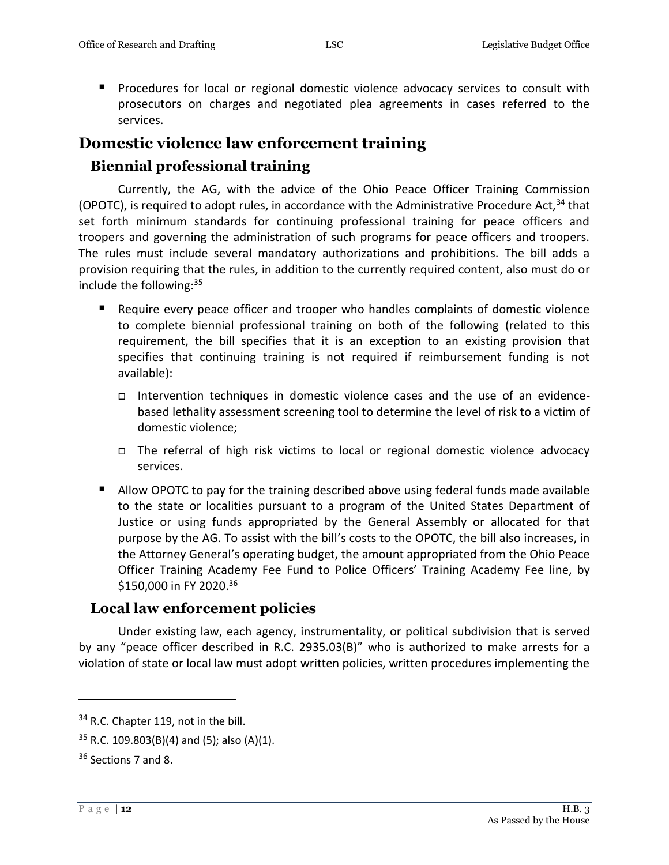**Procedures for local or regional domestic violence advocacy services to consult with** prosecutors on charges and negotiated plea agreements in cases referred to the services.

# <span id="page-11-0"></span>**Domestic violence law enforcement training**

#### <span id="page-11-1"></span>**Biennial professional training**

Currently, the AG, with the advice of the Ohio Peace Officer Training Commission (OPOTC), is required to adopt rules, in accordance with the Administrative Procedure Act,  $34$  that set forth minimum standards for continuing professional training for peace officers and troopers and governing the administration of such programs for peace officers and troopers. The rules must include several mandatory authorizations and prohibitions. The bill adds a provision requiring that the rules, in addition to the currently required content, also must do or include the following:<sup>35</sup>

- Require every peace officer and trooper who handles complaints of domestic violence to complete biennial professional training on both of the following (related to this requirement, the bill specifies that it is an exception to an existing provision that specifies that continuing training is not required if reimbursement funding is not available):
	- Intervention techniques in domestic violence cases and the use of an evidencebased lethality assessment screening tool to determine the level of risk to a victim of domestic violence;
	- The referral of high risk victims to local or regional domestic violence advocacy services.
- Allow OPOTC to pay for the training described above using federal funds made available to the state or localities pursuant to a program of the United States Department of Justice or using funds appropriated by the General Assembly or allocated for that purpose by the AG. To assist with the bill's costs to the OPOTC, the bill also increases, in the Attorney General's operating budget, the amount appropriated from the Ohio Peace Officer Training Academy Fee Fund to Police Officers' Training Academy Fee line, by \$150,000 in FY 2020. 36

#### <span id="page-11-2"></span>**Local law enforcement policies**

Under existing law, each agency, instrumentality, or political subdivision that is served by any "peace officer described in R.C. 2935.03(B)" who is authorized to make arrests for a violation of state or local law must adopt written policies, written procedures implementing the

<sup>&</sup>lt;sup>34</sup> R.C. Chapter 119, not in the bill.

 $35$  R.C. 109.803(B)(4) and (5); also (A)(1).

<sup>36</sup> Sections 7 and 8.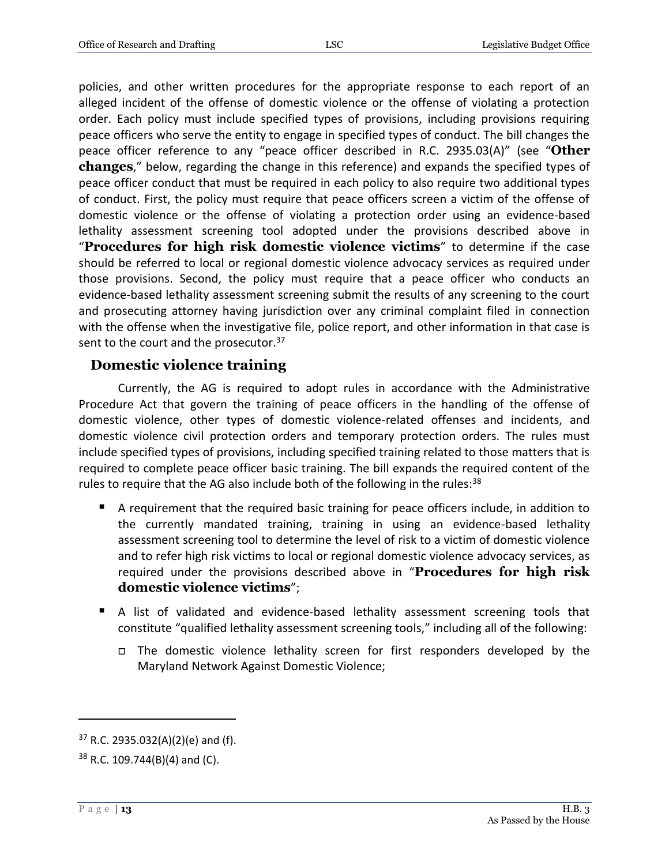policies, and other written procedures for the appropriate response to each report of an alleged incident of the offense of domestic violence or the offense of violating a protection order. Each policy must include specified types of provisions, including provisions requiring peace officers who serve the entity to engage in specified types of conduct. The bill changes the peace officer reference to any "peace officer described in R.C. 2935.03(A)" (see "**Other changes**," below, regarding the change in this reference) and expands the specified types of peace officer conduct that must be required in each policy to also require two additional types of conduct. First, the policy must require that peace officers screen a victim of the offense of domestic violence or the offense of violating a protection order using an evidence-based lethality assessment screening tool adopted under the provisions described above in "**Procedures for high risk domestic violence victims**" to determine if the case should be referred to local or regional domestic violence advocacy services as required under those provisions. Second, the policy must require that a peace officer who conducts an evidence-based lethality assessment screening submit the results of any screening to the court and prosecuting attorney having jurisdiction over any criminal complaint filed in connection with the offense when the investigative file, police report, and other information in that case is sent to the court and the prosecutor.<sup>37</sup>

# <span id="page-12-0"></span>**Domestic violence training**

Currently, the AG is required to adopt rules in accordance with the Administrative Procedure Act that govern the training of peace officers in the handling of the offense of domestic violence, other types of domestic violence-related offenses and incidents, and domestic violence civil protection orders and temporary protection orders. The rules must include specified types of provisions, including specified training related to those matters that is required to complete peace officer basic training. The bill expands the required content of the rules to require that the AG also include both of the following in the rules: $38$ 

- A requirement that the required basic training for peace officers include, in addition to the currently mandated training, training in using an evidence-based lethality assessment screening tool to determine the level of risk to a victim of domestic violence and to refer high risk victims to local or regional domestic violence advocacy services, as required under the provisions described above in "**Procedures for high risk domestic violence victims**";
- A list of validated and evidence-based lethality assessment screening tools that constitute "qualified lethality assessment screening tools," including all of the following:
	- The domestic violence lethality screen for first responders developed by the Maryland Network Against Domestic Violence;

 $37$  R.C. 2935.032(A)(2)(e) and (f).

 $38$  R.C. 109.744(B)(4) and (C).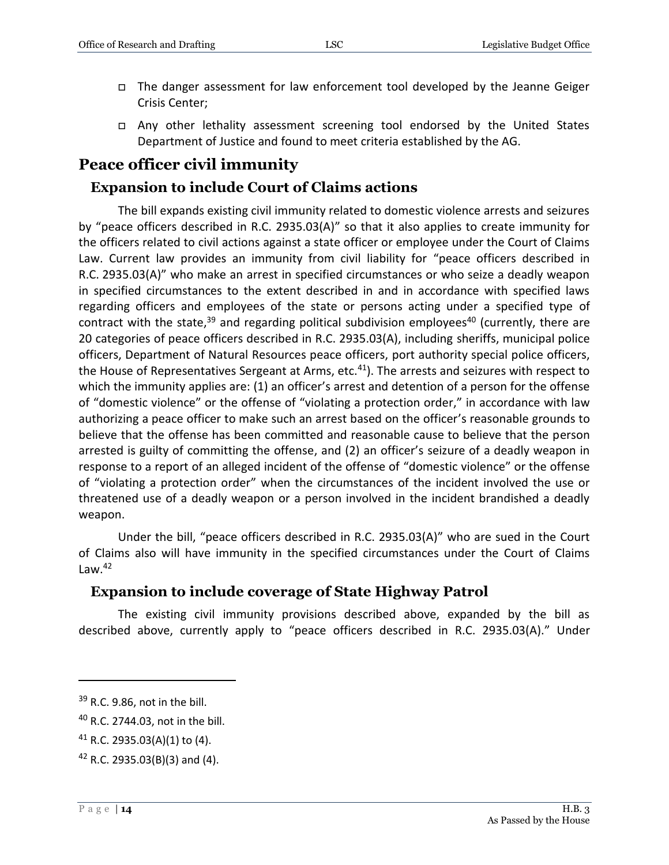- The danger assessment for law enforcement tool developed by the Jeanne Geiger Crisis Center;
- □ Any other lethality assessment screening tool endorsed by the United States Department of Justice and found to meet criteria established by the AG.

# <span id="page-13-0"></span>**Peace officer civil immunity**

#### <span id="page-13-1"></span>**Expansion to include Court of Claims actions**

The bill expands existing civil immunity related to domestic violence arrests and seizures by "peace officers described in R.C. 2935.03(A)" so that it also applies to create immunity for the officers related to civil actions against a state officer or employee under the Court of Claims Law. Current law provides an immunity from civil liability for "peace officers described in R.C. 2935.03(A)" who make an arrest in specified circumstances or who seize a deadly weapon in specified circumstances to the extent described in and in accordance with specified laws regarding officers and employees of the state or persons acting under a specified type of contract with the state, $39$  and regarding political subdivision employees<sup>40</sup> (currently, there are 20 categories of peace officers described in R.C. 2935.03(A), including sheriffs, municipal police officers, Department of Natural Resources peace officers, port authority special police officers, the House of Representatives Sergeant at Arms, etc.<sup>41</sup>). The arrests and seizures with respect to which the immunity applies are: (1) an officer's arrest and detention of a person for the offense of "domestic violence" or the offense of "violating a protection order," in accordance with law authorizing a peace officer to make such an arrest based on the officer's reasonable grounds to believe that the offense has been committed and reasonable cause to believe that the person arrested is guilty of committing the offense, and (2) an officer's seizure of a deadly weapon in response to a report of an alleged incident of the offense of "domestic violence" or the offense of "violating a protection order" when the circumstances of the incident involved the use or threatened use of a deadly weapon or a person involved in the incident brandished a deadly weapon.

Under the bill, "peace officers described in R.C. 2935.03(A)" who are sued in the Court of Claims also will have immunity in the specified circumstances under the Court of Claims Law. $42$ 

#### <span id="page-13-2"></span>**Expansion to include coverage of State Highway Patrol**

The existing civil immunity provisions described above, expanded by the bill as described above, currently apply to "peace officers described in R.C. 2935.03(A)." Under

 $39$  R.C. 9.86, not in the bill.

<sup>40</sup> R.C. 2744.03, not in the bill.

 $41$  R.C. 2935.03(A)(1) to (4).

<sup>42</sup> R.C. 2935.03(B)(3) and (4).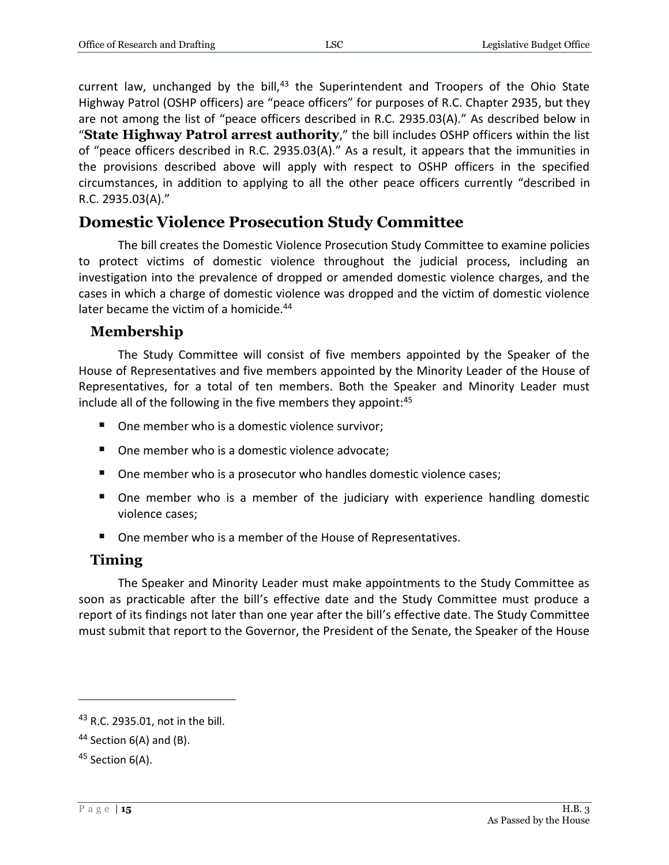current law, unchanged by the bill, $43$  the Superintendent and Troopers of the Ohio State Highway Patrol (OSHP officers) are "peace officers" for purposes of R.C. Chapter 2935, but they are not among the list of "peace officers described in R.C. 2935.03(A)." As described below in "**State Highway Patrol arrest authority**," the bill includes OSHP officers within the list of "peace officers described in R.C. 2935.03(A)." As a result, it appears that the immunities in the provisions described above will apply with respect to OSHP officers in the specified circumstances, in addition to applying to all the other peace officers currently "described in R.C. 2935.03(A)."

# <span id="page-14-0"></span>**Domestic Violence Prosecution Study Committee**

The bill creates the Domestic Violence Prosecution Study Committee to examine policies to protect victims of domestic violence throughout the judicial process, including an investigation into the prevalence of dropped or amended domestic violence charges, and the cases in which a charge of domestic violence was dropped and the victim of domestic violence later became the victim of a homicide.<sup>44</sup>

#### <span id="page-14-1"></span>**Membership**

The Study Committee will consist of five members appointed by the Speaker of the House of Representatives and five members appointed by the Minority Leader of the House of Representatives, for a total of ten members. Both the Speaker and Minority Leader must include all of the following in the five members they appoint:<sup>45</sup>

- One member who is a domestic violence survivor;
- One member who is a domestic violence advocate;
- One member who is a prosecutor who handles domestic violence cases;
- **•** One member who is a member of the judiciary with experience handling domestic violence cases;
- One member who is a member of the House of Representatives.

#### <span id="page-14-2"></span>**Timing**

The Speaker and Minority Leader must make appointments to the Study Committee as soon as practicable after the bill's effective date and the Study Committee must produce a report of its findings not later than one year after the bill's effective date. The Study Committee must submit that report to the Governor, the President of the Senate, the Speaker of the House

<sup>43</sup> R.C. 2935.01, not in the bill.

 $44$  Section 6(A) and (B).

<sup>&</sup>lt;sup>45</sup> Section 6(A).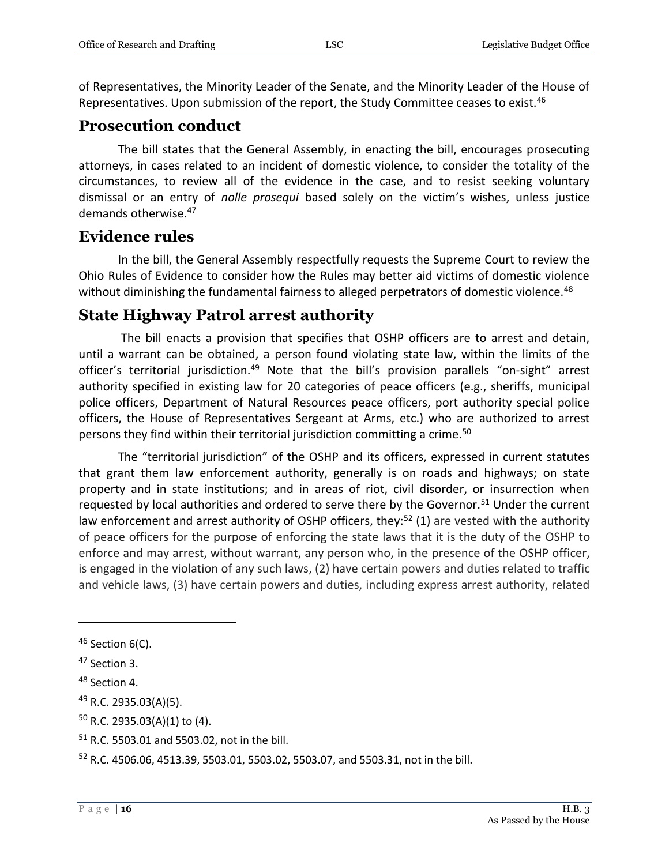of Representatives, the Minority Leader of the Senate, and the Minority Leader of the House of Representatives. Upon submission of the report, the Study Committee ceases to exist.<sup>46</sup>

# <span id="page-15-0"></span>**Prosecution conduct**

The bill states that the General Assembly, in enacting the bill, encourages prosecuting attorneys, in cases related to an incident of domestic violence, to consider the totality of the circumstances, to review all of the evidence in the case, and to resist seeking voluntary dismissal or an entry of *nolle prosequi* based solely on the victim's wishes, unless justice demands otherwise.<sup>47</sup>

#### <span id="page-15-1"></span>**Evidence rules**

In the bill, the General Assembly respectfully requests the Supreme Court to review the Ohio Rules of Evidence to consider how the Rules may better aid victims of domestic violence without diminishing the fundamental fairness to alleged perpetrators of domestic violence.<sup>48</sup>

# <span id="page-15-2"></span>**State Highway Patrol arrest authority**

The bill enacts a provision that specifies that OSHP officers are to arrest and detain, until a warrant can be obtained, a person found violating state law, within the limits of the officer's territorial jurisdiction.<sup>49</sup> Note that the bill's provision parallels "on-sight" arrest authority specified in existing law for 20 categories of peace officers (e.g., sheriffs, municipal police officers, Department of Natural Resources peace officers, port authority special police officers, the House of Representatives Sergeant at Arms, etc.) who are authorized to arrest persons they find within their territorial jurisdiction committing a crime.<sup>50</sup>

The "territorial jurisdiction" of the OSHP and its officers, expressed in current statutes that grant them law enforcement authority, generally is on roads and highways; on state property and in state institutions; and in areas of riot, civil disorder, or insurrection when requested by local authorities and ordered to serve there by the Governor.<sup>51</sup> Under the current law enforcement and arrest authority of OSHP officers, they:<sup>52</sup> (1) are vested with the authority of peace officers for the purpose of enforcing the state laws that it is the duty of the OSHP to enforce and may arrest, without warrant, any person who, in the presence of the OSHP officer, is engaged in the violation of any such laws, (2) have certain powers and duties related to traffic and vehicle laws, (3) have certain powers and duties, including express arrest authority, related

 $46$  Section 6(C).

<sup>47</sup> Section 3.

<sup>48</sup> Section 4.

<sup>&</sup>lt;sup>49</sup> R.C. 2935.03(A)(5).

 $50$  R.C. 2935.03(A)(1) to (4).

<sup>51</sup> R.C. 5503.01 and 5503.02, not in the bill.

<sup>52</sup> R.C. 4506.06, 4513.39, 5503.01, 5503.02, 5503.07, and 5503.31, not in the bill.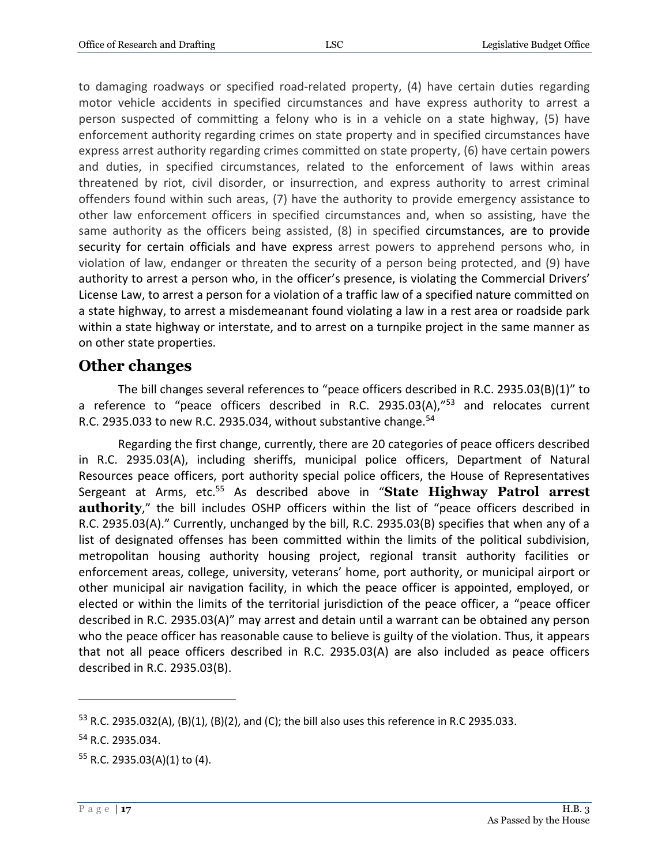to damaging roadways or specified road-related property, (4) have certain duties regarding motor vehicle accidents in specified circumstances and have express authority to arrest a person suspected of committing a felony who is in a vehicle on a state highway, (5) have enforcement authority regarding crimes on state property and in specified circumstances have express arrest authority regarding crimes committed on state property, (6) have certain powers and duties, in specified circumstances, related to the enforcement of laws within areas threatened by riot, civil disorder, or insurrection, and express authority to arrest criminal offenders found within such areas, (7) have the authority to provide emergency assistance to other law enforcement officers in specified circumstances and, when so assisting, have the same authority as the officers being assisted, (8) in specified circumstances, are to provide security for certain officials and have express arrest powers to apprehend persons who, in violation of law, endanger or threaten the security of a person being protected, and (9) have authority to arrest a person who, in the officer's presence, is violating the Commercial Drivers' License Law, to arrest a person for a violation of a traffic law of a specified nature committed on a state highway, to arrest a misdemeanant found violating a law in a rest area or roadside park within a state highway or interstate, and to arrest on a turnpike project in the same manner as on other state properties.

#### <span id="page-16-0"></span>**Other changes**

The bill changes several references to "peace officers described in R.C. 2935.03(B)(1)" to a reference to "peace officers described in R.C. 2935.03(A),"<sup>53</sup> and relocates current R.C. 2935.033 to new R.C. 2935.034, without substantive change. $54$ 

Regarding the first change, currently, there are 20 categories of peace officers described in R.C. 2935.03(A), including sheriffs, municipal police officers, Department of Natural Resources peace officers, port authority special police officers, the House of Representatives Sergeant at Arms, etc.<sup>55</sup> As described above in "State Highway Patrol arrest **authority**," the bill includes OSHP officers within the list of "peace officers described in R.C. 2935.03(A)." Currently, unchanged by the bill, R.C. 2935.03(B) specifies that when any of a list of designated offenses has been committed within the limits of the political subdivision, metropolitan housing authority housing project, regional transit authority facilities or enforcement areas, college, university, veterans' home, port authority, or municipal airport or other municipal air navigation facility, in which the peace officer is appointed, employed, or elected or within the limits of the territorial jurisdiction of the peace officer, a "peace officer described in R.C. 2935.03(A)" may arrest and detain until a warrant can be obtained any person who the peace officer has reasonable cause to believe is guilty of the violation. Thus, it appears that not all peace officers described in R.C. 2935.03(A) are also included as peace officers described in R.C. 2935.03(B).

<sup>53</sup> R.C. 2935.032(A), (B)(1), (B)(2), and (C); the bill also uses this reference in R.C 2935.033.

<sup>54</sup> R.C. 2935.034.

 $55$  R.C. 2935.03(A)(1) to (4).